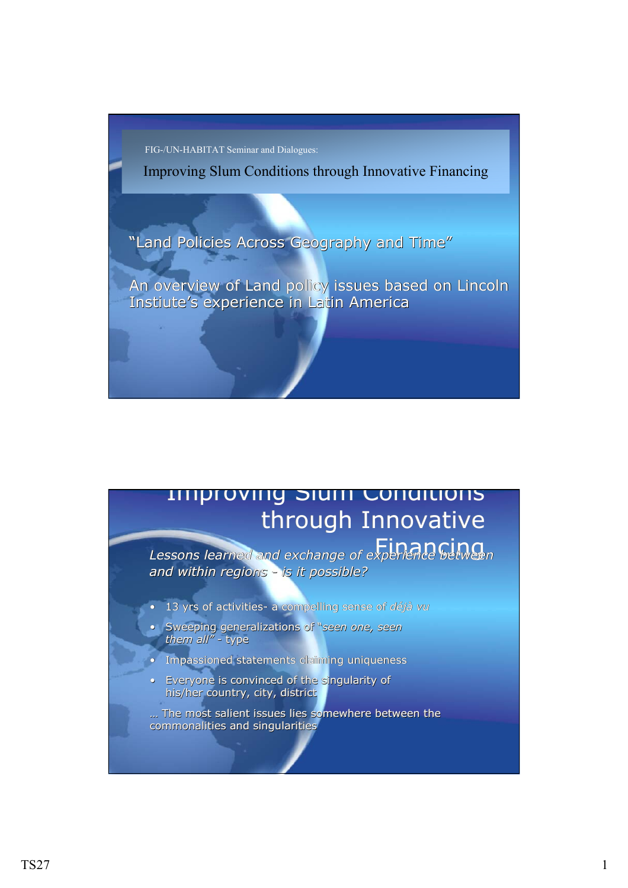FIG-/UN-HABITAT Seminar and Dialogues:

Improving Slum Conditions through Innovative Financing

"Land Policies Across Geography and Time"

"Land Policies Across Geography and Time"<br>An overview of Land policy issues based on Lincoln Instiute's experience in Latin America

## Improving Slum Conditions Improving SlumConditions through Innovative

Financing *Lessons learned and exchange of experience between* Financing *Lessons learned and of experience between and exchange of between and within regions - is it possible? and within regions and within regions - is it possible?*

- 13 yrs of activities- a compelling sense of *déjà vu* 13 yrs of activities- a compelling compelling sense of *déjà vu*
- Sweeping generalizations of "*seen one, seen them all"* - type • Sweeping generalizations of "*seen one, seen them all them all"* - type
- Impassioned statements claiming uniqueness
- Everyone is convinced of the singularity of his/her country, city, district

... The most salient issues lies somewhere between the commonalities and singularities commonalities and singularities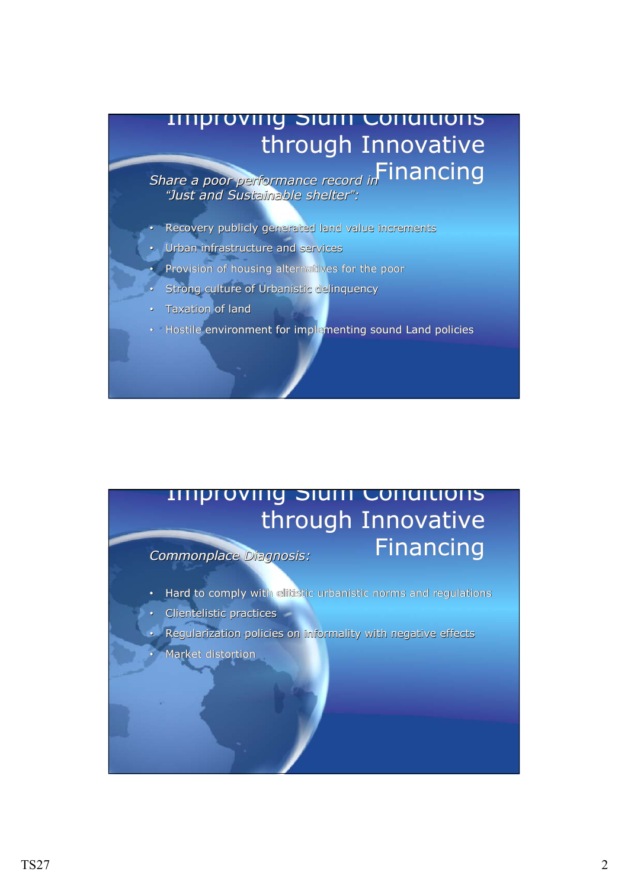## Improving Slum Conditions Improving SlumConditions through Innovative

Financing *Share a poor performance record in* Financing *Share a poor performance record in Share a poor performance record in "Just and Sustainable shelter": "Just and Sustainable Sustainable shelter:*

- Recovery publicly generated land value increments
- Urban infrastructure and services
- Provision of housing alternatives for the poor
- Strong culture of Urbanistic delinquency
- Taxation of land •Taxation of land
- Hostile environment for implementing sound Land policies •Hostile environment for implementing sound Land policies

## Improving Slum Conditions Improving SlumConditions through Innovative Financing *Commonplace Diagnosis:* Financing *Commonplace Diagnosis: Commonplace Diagnosis:*

• Hard to comply with elitistic urbanistic norms and regulations

- Clientelistic practices •Clientelistic practices
- Regularization policies on informality with negative effects Regularization policies on informality with negative effects
- Market distortion •Market distortion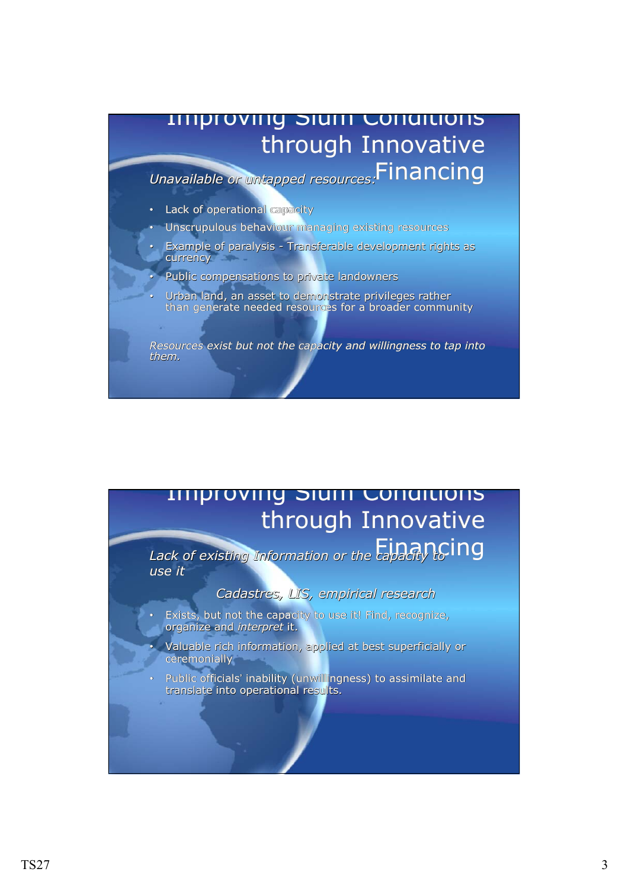

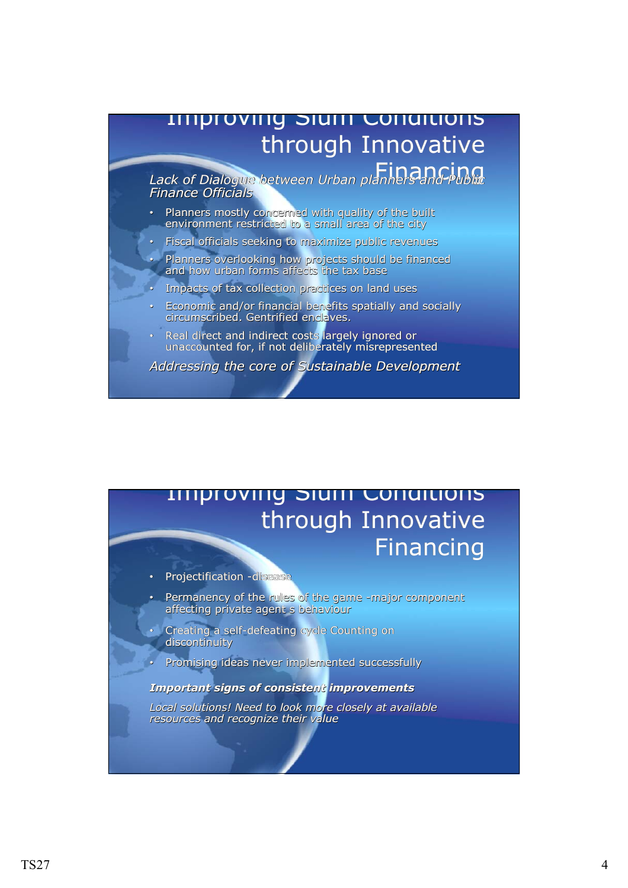## Improving Slum Conditions Improving SlumConditions through Innovative

Financing *Lack of Dialogue between Urban planners and Public* Financing *Finance Officials Lack Dialogue between Urban planners and Public Lack of Dialogue between Urban and Public Finance Officials Finance Officials*

- Planners mostly concerned with quality of the built environment restricted to a small area of the city
- Fiscal officials seeking to maximize public revenues •Fiscal officials seeking to maximize public revenues

• Planners overlooking how projects should be financed and how urban forms affects the tax base • Planners overlooking how projects should be financed and how urban forms affects the tax base

- Impacts of tax collection practices on land uses
- Economic and/or financial benefits spatially and socially circumscribed. Gentrified enclaves. • Economic and/or financial benefits spatially and socially circumscribed. Gentrified enclaves.
- Real direct and indirect costs largely ignored or unaccounted for, if not deliberately misrepresented • Real direct and indirect costs largely ignored or unaccounted for, if not deliberately misrepresented

*Addressing the core of Sustainable Development Addressing Addressing the core of Sustainable Development*